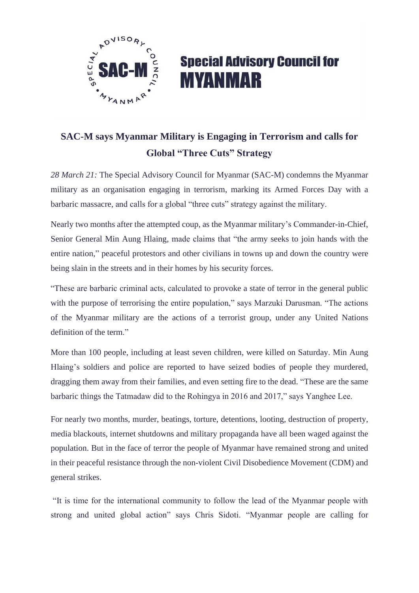

## **Special Advisory Council for MYANMAR**

## **SAC-M says Myanmar Military is Engaging in Terrorism and calls for Global "Three Cuts" Strategy**

*28 March 21:* The Special Advisory Council for Myanmar (SAC-M) condemns the Myanmar military as an organisation engaging in terrorism, marking its Armed Forces Day with a barbaric massacre, and calls for a global "three cuts" strategy against the military.

Nearly two months after the attempted coup, as the Myanmar military's Commander-in-Chief, Senior General Min Aung Hlaing, made claims that "the army seeks to join hands with the entire nation," peaceful protestors and other civilians in towns up and down the country were being slain in the streets and in their homes by his security forces.

"These are barbaric criminal acts, calculated to provoke a state of terror in the general public with the purpose of terrorising the entire population," says Marzuki Darusman. "The actions of the Myanmar military are the actions of a terrorist group, under any United Nations definition of the term."

More than 100 people, including at least seven children, were killed on Saturday. Min Aung Hlaing's soldiers and police are reported to have seized bodies of people they murdered, dragging them away from their families, and even setting fire to the dead. "These are the same barbaric things the Tatmadaw did to the Rohingya in 2016 and 2017," says Yanghee Lee.

For nearly two months, murder, beatings, torture, detentions, looting, destruction of property, media blackouts, internet shutdowns and military propaganda have all been waged against the population. But in the face of terror the people of Myanmar have remained strong and united in their peaceful resistance through the non-violent Civil Disobedience Movement (CDM) and general strikes.

"It is time for the international community to follow the lead of the Myanmar people with strong and united global action" says Chris Sidoti. "Myanmar people are calling for